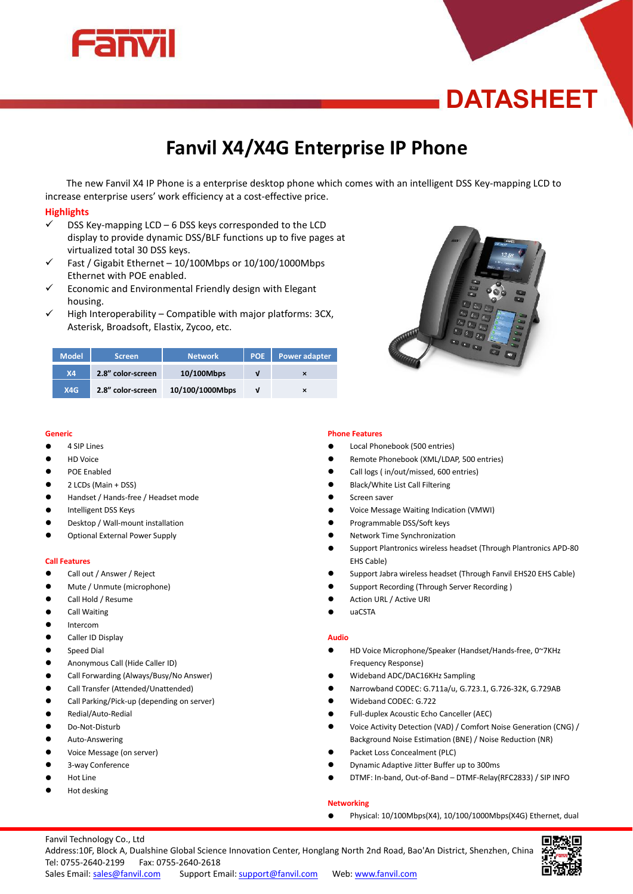

# **DATASHEET**

# **Fanvil X4/X4G Enterprise IP Phone**

The new Fanvil X4 IP Phone is a enterprise desktop phone which comes with an intelligent DSS Key-mapping LCD to increase enterprise users' work efficiency at a cost-effective price.

# **Highlights**

- $\checkmark$  DSS Key-mapping LCD 6 DSS keys corresponded to the LCD display to provide dynamic DSS/BLF functions up to five pages at virtualized total 30 DSS keys.
- $\checkmark$  Fast / Gigabit Ethernet 10/100Mbps or 10/100/1000Mbps Ethernet with POE enabled.
- $\checkmark$  Economic and Environmental Friendly design with Elegant housing.
- High Interoperability Compatible with major platforms: 3CX, Asterisk, Broadsoft, Elastix, Zycoo, etc.



| <b>Model</b> | <b>Screen</b>     | <b>Network</b>  | <b>POE</b> | <b>Power adapter</b> |  |
|--------------|-------------------|-----------------|------------|----------------------|--|
| <b>X4</b>    | 2.8" color-screen | 10/100Mbps      | v          |                      |  |
| X4G          | 2.8" color-screen | 10/100/1000Mbps | ν          | ×                    |  |

#### **Generic**

- 4 SIP Lines
- HD Voice
- **•** POE Enabled
- $\bullet$  2 LCDs (Main + DSS)
- Handset / Hands-free / Headset mode
- Intelligent DSS Keys
- Desktop / Wall-mount installation
- **•** Optional External Power Supply

#### **Call Features**

- Call out / Answer / Reject
- Mute / Unmute (microphone)
- Call Hold / Resume
- **•** Call Waiting
- **•** Intercom
- **Caller ID Display**
- **•** Speed Dial
- Anonymous Call (Hide Caller ID)
- Call Forwarding (Always/Busy/No Answer)
- Call Transfer (Attended/Unattended)
- Call Parking/Pick-up (depending on server)
- Redial/Auto-Redial
- Do-Not-Disturb
- **•** Auto-Answering
- Voice Message (on server)
- 3-way Conference
- Hot Line
- Hot desking

#### **Phone Features**

- Local Phonebook (500 entries)
- Remote Phonebook (XML/LDAP, 500 entries)
- Call logs ( in/out/missed, 600 entries)
- Black/White List Call Filtering
- **Screen saver**
- Voice Message Waiting Indication (VMWI)
- Programmable DSS/Soft keys
- Network Time Synchronization
- Support Plantronics wireless headset (Through Plantronics APD-80 EHS Cable)
- Support Jabra wireless headset (Through Fanvil EHS20 EHS Cable)
- Support Recording (Through Server Recording )
- Action URL / Active URI
- uaCSTA

#### **Audio**

- HD Voice Microphone/Speaker (Handset/Hands-free, 0~7KHz Frequency Response)
- Wideband ADC/DAC16KHz Sampling
- Narrowband CODEC: G.711a/u, G.723.1, G.726-32K, G.729AB
- Wideband CODEC: G.722
- Full-duplex Acoustic Echo Canceller (AEC)
- Voice Activity Detection (VAD) / Comfort Noise Generation (CNG) / Background Noise Estimation (BNE) / Noise Reduction (NR)
- Packet Loss Concealment (PLC)
- Dynamic Adaptive Jitter Buffer up to 300ms
- DTMF: In-band, Out-of-Band DTMF-Relay(RFC2833) / SIP INFO

# **Networking**

Physical: 10/100Mbps(X4), 10/100/1000Mbps(X4G) Ethernet, dual